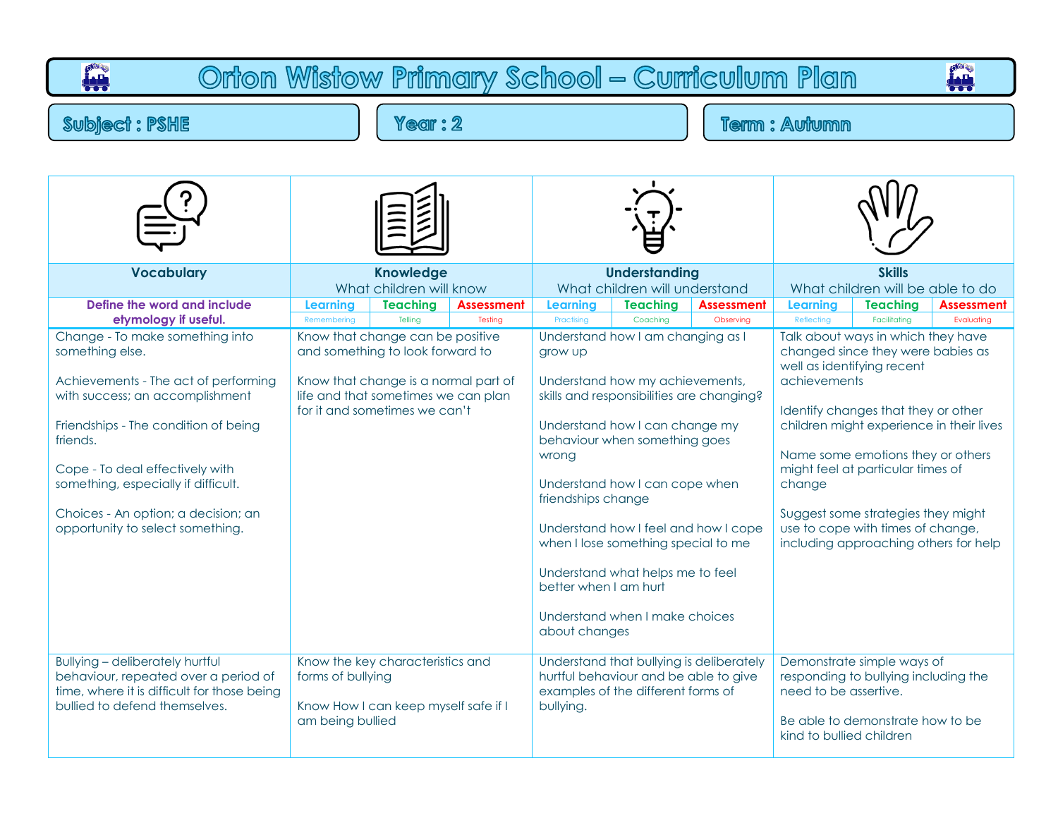| Orton Wistow Primary School - Curriculum Plan<br><b>ALI</b><br>بللمأ                                                                                                                                                                                                                                                                                           |                                                                                                 |                                                                                                                                                                                                 |         |                                                                                                                                                                                                                                                                                                                                                 |                                                                                                                                                                                               |  |                                                                                                                                                                                                                                                                                                                                                                                                                  |                                                                                                        |  |  |  |
|----------------------------------------------------------------------------------------------------------------------------------------------------------------------------------------------------------------------------------------------------------------------------------------------------------------------------------------------------------------|-------------------------------------------------------------------------------------------------|-------------------------------------------------------------------------------------------------------------------------------------------------------------------------------------------------|---------|-------------------------------------------------------------------------------------------------------------------------------------------------------------------------------------------------------------------------------------------------------------------------------------------------------------------------------------------------|-----------------------------------------------------------------------------------------------------------------------------------------------------------------------------------------------|--|------------------------------------------------------------------------------------------------------------------------------------------------------------------------------------------------------------------------------------------------------------------------------------------------------------------------------------------------------------------------------------------------------------------|--------------------------------------------------------------------------------------------------------|--|--|--|
| $Y$ ear : $2$<br><b>Subject: PSHE</b>                                                                                                                                                                                                                                                                                                                          |                                                                                                 |                                                                                                                                                                                                 |         |                                                                                                                                                                                                                                                                                                                                                 | <b>Term: Autumn</b>                                                                                                                                                                           |  |                                                                                                                                                                                                                                                                                                                                                                                                                  |                                                                                                        |  |  |  |
| <b>Vocabulary</b><br>Define the word and include                                                                                                                                                                                                                                                                                                               | <b>Knowledge</b><br>What children will know<br><b>Teaching</b><br><b>Assessment</b><br>Learning |                                                                                                                                                                                                 |         | <b>Understanding</b><br>What children will understand<br><b>Teaching</b><br><b>Assessment</b><br><b>Learning</b>                                                                                                                                                                                                                                |                                                                                                                                                                                               |  | <b>Skills</b><br>What children will be able to do<br><b>Teaching</b><br><b>Learning</b><br><b>Assessment</b>                                                                                                                                                                                                                                                                                                     |                                                                                                        |  |  |  |
| etymology if useful.<br>Change - To make something into<br>something else.<br>Achievements - The act of performing<br>with success; an accomplishment<br>Friendships - The condition of being<br>friends.<br>Cope - To deal effectively with<br>something, especially if difficult.<br>Choices - An option; a decision; an<br>opportunity to select something. | Remembering                                                                                     | Telling<br>Know that change can be positive<br>and something to look forward to<br>Know that change is a normal part of<br>life and that sometimes we can plan<br>for it and sometimes we can't | Testing | Understand how I am changing as I<br>grow up<br>Understand how my achievements,<br>skills and responsibilities are changing?<br>Understand how I can change my<br>behaviour when something goes<br>wrong<br>Understand how I can cope when<br>friendships change<br>Understand how I feel and how I cope<br>when I lose something special to me |                                                                                                                                                                                               |  | Talk about ways in which they have<br>changed since they were babies as<br>well as identifying recent<br>achievements<br>Identify changes that they or other<br>children might experience in their lives<br>Name some emotions they or others<br>might feel at particular times of<br>change<br>Suggest some strategies they might<br>use to cope with times of change,<br>including approaching others for help |                                                                                                        |  |  |  |
| <b>Bullying - deliberately hurtful</b><br>behaviour, repeated over a period of<br>time, where it is difficult for those being<br>bullied to defend themselves.                                                                                                                                                                                                 | forms of bullying<br>am being bullied                                                           | Know the key characteristics and<br>Know How I can keep myself safe if I                                                                                                                        |         | better when I am hurt<br>about changes<br>bullying.                                                                                                                                                                                                                                                                                             | Understand what helps me to feel<br>Understand when I make choices<br>Understand that bullying is deliberately<br>hurtful behaviour and be able to give<br>examples of the different forms of |  | need to be assertive.<br>kind to bullied children                                                                                                                                                                                                                                                                                                                                                                | Demonstrate simple ways of<br>responding to bullying including the<br>Be able to demonstrate how to be |  |  |  |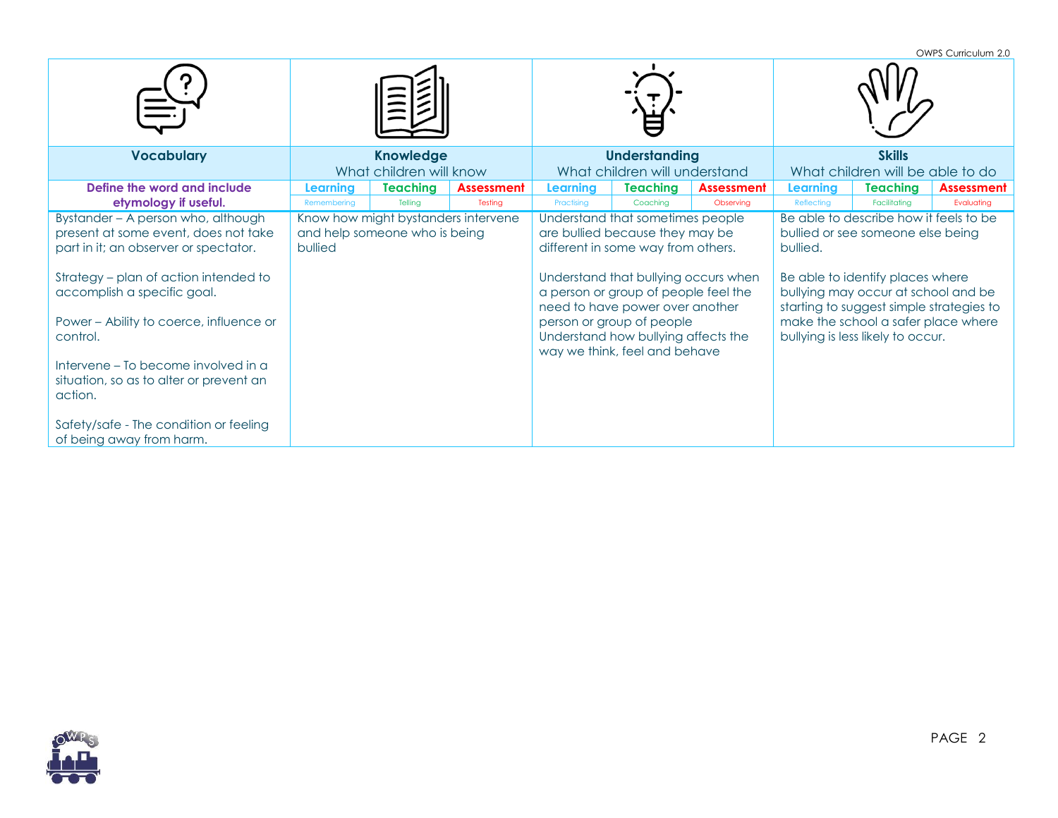|                                                                                                                                                                                                                                                                                                                                                                                                                       |                                                                                 |                         |                   |                                                                                                                                                                                                                                                                                                                                   |                               |                   |                                                                                                                                                                                                                                                                                            |                                  | OWPS Curriculum 2.0 |  |
|-----------------------------------------------------------------------------------------------------------------------------------------------------------------------------------------------------------------------------------------------------------------------------------------------------------------------------------------------------------------------------------------------------------------------|---------------------------------------------------------------------------------|-------------------------|-------------------|-----------------------------------------------------------------------------------------------------------------------------------------------------------------------------------------------------------------------------------------------------------------------------------------------------------------------------------|-------------------------------|-------------------|--------------------------------------------------------------------------------------------------------------------------------------------------------------------------------------------------------------------------------------------------------------------------------------------|----------------------------------|---------------------|--|
|                                                                                                                                                                                                                                                                                                                                                                                                                       |                                                                                 |                         |                   |                                                                                                                                                                                                                                                                                                                                   |                               |                   |                                                                                                                                                                                                                                                                                            |                                  |                     |  |
| <b>Vocabulary</b>                                                                                                                                                                                                                                                                                                                                                                                                     | <b>Knowledge</b>                                                                |                         |                   | <b>Understanding</b>                                                                                                                                                                                                                                                                                                              |                               |                   | <b>Skills</b>                                                                                                                                                                                                                                                                              |                                  |                     |  |
|                                                                                                                                                                                                                                                                                                                                                                                                                       |                                                                                 | What children will know |                   |                                                                                                                                                                                                                                                                                                                                   | What children will understand |                   |                                                                                                                                                                                                                                                                                            | What children will be able to do |                     |  |
| Define the word and include                                                                                                                                                                                                                                                                                                                                                                                           | <b>Learning</b>                                                                 | <b>Teaching</b>         | <b>Assessment</b> | Learnina                                                                                                                                                                                                                                                                                                                          | Teaching                      | <b>Assessment</b> | Learning                                                                                                                                                                                                                                                                                   | <b>Teaching</b>                  | <b>Assessment</b>   |  |
| etymology if useful.                                                                                                                                                                                                                                                                                                                                                                                                  | Remembering                                                                     | Tellina                 | Testing           | Practising                                                                                                                                                                                                                                                                                                                        | Coachina                      | Observing         | Reflecting                                                                                                                                                                                                                                                                                 | Facilitating                     | Evaluating          |  |
| Bystander - A person who, although<br>present at some event, does not take<br>part in it; an observer or spectator.<br>Strategy - plan of action intended to<br>accomplish a specific goal.<br>Power - Ability to coerce, influence or<br>control.<br>Intervene – To become involved in a<br>situation, so as to alter or prevent an<br>action.<br>Safety/safe - The condition or feeling<br>of being away from harm. | Know how might bystanders intervene<br>and help someone who is being<br>bullied |                         |                   | Understand that sometimes people<br>are bullied because they may be<br>different in some way from others.<br>Understand that bullying occurs when<br>a person or group of people feel the<br>need to have power over another<br>person or group of people<br>Understand how bullying affects the<br>way we think, feel and behave |                               |                   | Be able to describe how it feels to be<br>bullied or see someone else being<br>bullied.<br>Be able to identify places where<br>bullying may occur at school and be<br>starting to suggest simple strategies to<br>make the school a safer place where<br>bullying is less likely to occur. |                                  |                     |  |

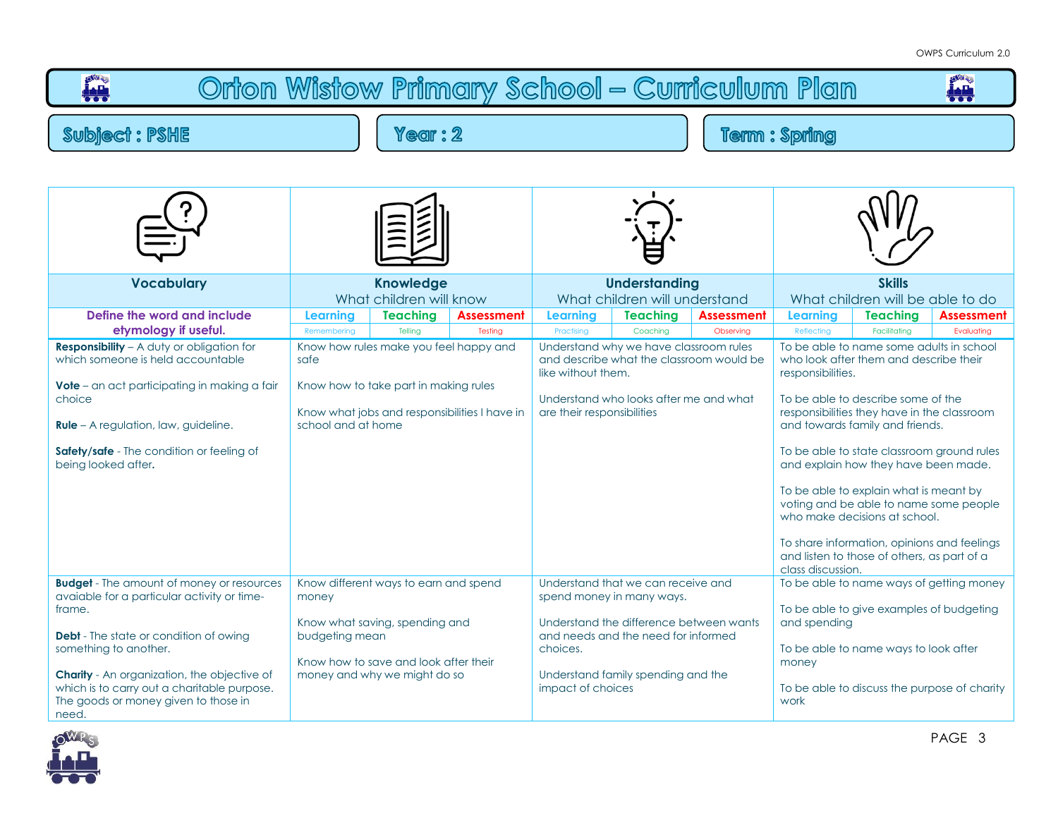| Orton Wistow Primary School - Curriculum Plan                                                                                                                                                                                                                                                                                             |                                                       |                                                                                                                                                  |                                                                               |                                                                            |                                                                                                                                                                                         |                                |                                                                  |                                                                                                                                                                                                                                                                                                                                                                                                                                                                                                                                                        |                                                                                          |  |  |
|-------------------------------------------------------------------------------------------------------------------------------------------------------------------------------------------------------------------------------------------------------------------------------------------------------------------------------------------|-------------------------------------------------------|--------------------------------------------------------------------------------------------------------------------------------------------------|-------------------------------------------------------------------------------|----------------------------------------------------------------------------|-----------------------------------------------------------------------------------------------------------------------------------------------------------------------------------------|--------------------------------|------------------------------------------------------------------|--------------------------------------------------------------------------------------------------------------------------------------------------------------------------------------------------------------------------------------------------------------------------------------------------------------------------------------------------------------------------------------------------------------------------------------------------------------------------------------------------------------------------------------------------------|------------------------------------------------------------------------------------------|--|--|
| <b>Subject: PSHE</b>                                                                                                                                                                                                                                                                                                                      | <b>Term: Spring</b>                                   |                                                                                                                                                  |                                                                               |                                                                            |                                                                                                                                                                                         |                                |                                                                  |                                                                                                                                                                                                                                                                                                                                                                                                                                                                                                                                                        |                                                                                          |  |  |
|                                                                                                                                                                                                                                                                                                                                           |                                                       |                                                                                                                                                  |                                                                               |                                                                            |                                                                                                                                                                                         |                                |                                                                  |                                                                                                                                                                                                                                                                                                                                                                                                                                                                                                                                                        |                                                                                          |  |  |
| <b>Vocabulary</b>                                                                                                                                                                                                                                                                                                                         |                                                       | <b>Knowledge</b><br>What children will know                                                                                                      |                                                                               |                                                                            | <b>Understanding</b><br>What children will understand                                                                                                                                   |                                | <b>Skills</b><br>What children will be able to do                |                                                                                                                                                                                                                                                                                                                                                                                                                                                                                                                                                        |                                                                                          |  |  |
| Define the word and include<br>etymology if useful.<br><b>Responsibility</b> - A duty or obligation for<br>which someone is held accountable<br><b>Vote</b> – an act participating in making a fair<br>choice<br>Rule - A regulation, law, guideline.<br>Safety/safe - The condition or feeling of<br>being looked after.                 | Learning<br>Remembering<br>safe<br>school and at home | <b>Teaching</b><br>Telling<br>Know how rules make you feel happy and<br>Know how to take part in making rules                                    | <b>Assessment</b><br>Testing<br>Know what jobs and responsibilities I have in | Learning<br>Practising<br>like without them.<br>are their responsibilities | Teaching<br>Coaching<br>Understand why we have classroom rules<br>and describe what the classroom would be<br>Understand who looks after me and what                                    | <b>Assessment</b><br>Observing | Learning<br>Reflecting<br>responsibilities.<br>class discussion. | <b>Teaching</b><br>Facilitating<br>To be able to name some adults in school<br>who look after them and describe their<br>To be able to describe some of the<br>responsibilities they have in the classroom<br>and towards family and friends.<br>To be able to state classroom ground rules<br>and explain how they have been made.<br>To be able to explain what is meant by<br>voting and be able to name some people<br>who make decisions at school.<br>To share information, opinions and feelings<br>and listen to those of others, as part of a | <b>Assessment</b><br>Evaluating                                                          |  |  |
| <b>Budget</b> - The amount of money or resources<br>avaiable for a particular activity or time-<br>frame.<br><b>Debt</b> - The state or condition of owing<br>something to another.<br><b>Charity</b> - An organization, the objective of<br>which is to carry out a charitable purpose.<br>The goods or money given to those in<br>need. | money<br>budgeting mean                               | Know different ways to earn and spend<br>Know what saving, spending and<br>Know how to save and look after their<br>money and why we might do so |                                                                               | choices.<br>impact of choices                                              | Understand that we can receive and<br>spend money in many ways.<br>Understand the difference between wants<br>and needs and the need for informed<br>Understand family spending and the |                                | and spending<br>money<br>work                                    | To be able to give examples of budgeting<br>To be able to name ways to look after                                                                                                                                                                                                                                                                                                                                                                                                                                                                      | To be able to name ways of getting money<br>To be able to discuss the purpose of charity |  |  |

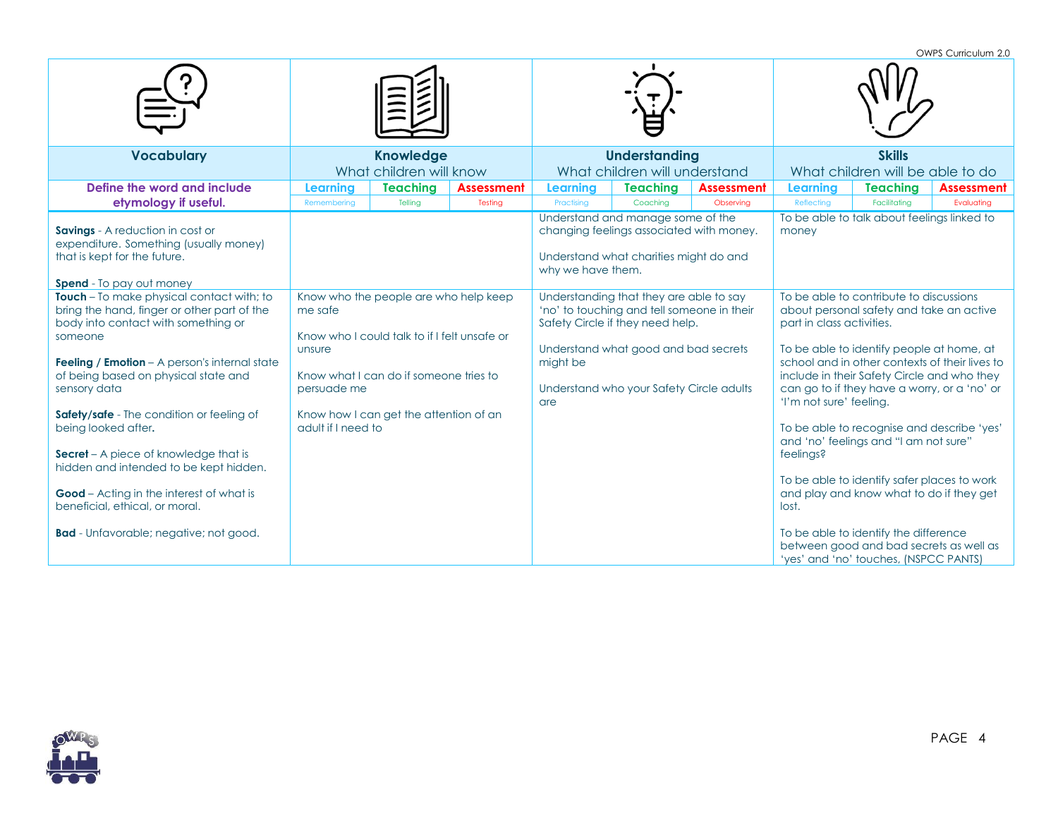OWPS Curriculum 2.0

| <b>Vocabulary</b>                                                                                                                                          | <b>Knowledge</b><br>What children will know |                                                                                       |                   |                   | <b>Understanding</b><br>What children will understand                                                                                                             |                   | <b>Skills</b><br>What children will be able to do                                                                                                                                                                                                                                                                                         |                                                                                                                           |                   |
|------------------------------------------------------------------------------------------------------------------------------------------------------------|---------------------------------------------|---------------------------------------------------------------------------------------|-------------------|-------------------|-------------------------------------------------------------------------------------------------------------------------------------------------------------------|-------------------|-------------------------------------------------------------------------------------------------------------------------------------------------------------------------------------------------------------------------------------------------------------------------------------------------------------------------------------------|---------------------------------------------------------------------------------------------------------------------------|-------------------|
| Define the word and include                                                                                                                                | Learning                                    | <b>Teaching</b>                                                                       | <b>Assessment</b> | <b>Learning</b>   | <b>Teaching</b>                                                                                                                                                   | <b>Assessment</b> | <b>Learning</b>                                                                                                                                                                                                                                                                                                                           | <b>Teaching</b>                                                                                                           | <b>Assessment</b> |
| etymology if useful.                                                                                                                                       | Remembering                                 | Telling                                                                               | Testing           | Practising        | Coachina                                                                                                                                                          | Observing         | Reflecting                                                                                                                                                                                                                                                                                                                                | Facilitatina                                                                                                              | Evaluating        |
| <b>Savings</b> - A reduction in cost or<br>expenditure. Something (usually money)<br>that is kept for the future.<br><b>Spend</b> - To pay out money       |                                             |                                                                                       |                   | why we have them. | Understand and manage some of the<br>changing feelings associated with money.<br>Understand what charities might do and                                           |                   | money                                                                                                                                                                                                                                                                                                                                     | To be able to talk about feelings linked to                                                                               |                   |
| Touch - To make physical contact with; to<br>bring the hand, finger or other part of the<br>body into contact with something or<br>someone                 | me safe<br>unsure                           | Know who the people are who help keep<br>Know who I could talk to if I felt unsafe or |                   |                   | Understanding that they are able to say<br>'no' to touching and tell someone in their<br>Safety Circle if they need help.<br>Understand what good and bad secrets |                   | To be able to contribute to discussions<br>about personal safety and take an active<br>part in class activities.<br>To be able to identify people at home, at<br>school and in other contexts of their lives to<br>include in their Safety Circle and who they<br>can go to if they have a worry, or a 'no' or<br>'I'm not sure' feeling. |                                                                                                                           |                   |
| <b>Feeling / Emotion</b> - A person's internal state<br>of being based on physical state and<br>sensory data                                               | persuade me                                 | Know what I can do if someone tries to                                                |                   | might be<br>are   | Understand who your Safety Circle adults                                                                                                                          |                   |                                                                                                                                                                                                                                                                                                                                           |                                                                                                                           |                   |
| Safety/safe - The condition or feeling of<br>being looked after.<br><b>Secret</b> – A piece of knowledge that is<br>hidden and intended to be kept hidden. | adult if I need to                          | Know how I can get the attention of an                                                |                   |                   |                                                                                                                                                                   |                   | feelings?                                                                                                                                                                                                                                                                                                                                 | To be able to recognise and describe 'yes'<br>and 'no' feelings and "I am not sure"                                       |                   |
| <b>Good</b> – Acting in the interest of what is<br>beneficial, ethical, or moral.                                                                          |                                             |                                                                                       |                   |                   |                                                                                                                                                                   |                   | lost.                                                                                                                                                                                                                                                                                                                                     | To be able to identify safer places to work<br>and play and know what to do if they get                                   |                   |
| <b>Bad</b> - Unfavorable; negative; not good.                                                                                                              |                                             |                                                                                       |                   |                   |                                                                                                                                                                   |                   |                                                                                                                                                                                                                                                                                                                                           | To be able to identify the difference<br>between good and bad secrets as well as<br>'yes' and 'no' touches, (NSPCC PANTS) |                   |



PAGE 4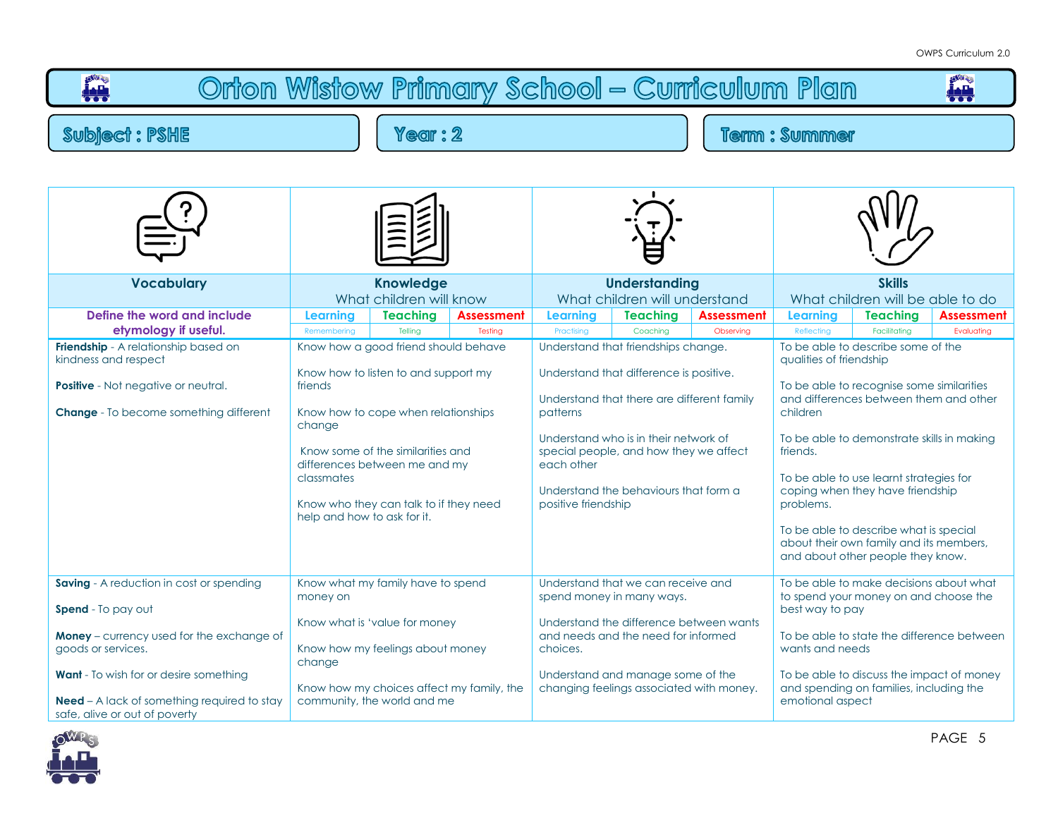| Orton Wistow Primary School - Curriculum Plan                                                                                                               |                                                                |                                                                                                                                                                                                                                     |                                           |                                                                                            |                                                                                                                                                                                                                                                          |                                |                                                                                                                                                                                                                                                                                                                        |                                 |                                 |  |  |
|-------------------------------------------------------------------------------------------------------------------------------------------------------------|----------------------------------------------------------------|-------------------------------------------------------------------------------------------------------------------------------------------------------------------------------------------------------------------------------------|-------------------------------------------|--------------------------------------------------------------------------------------------|----------------------------------------------------------------------------------------------------------------------------------------------------------------------------------------------------------------------------------------------------------|--------------------------------|------------------------------------------------------------------------------------------------------------------------------------------------------------------------------------------------------------------------------------------------------------------------------------------------------------------------|---------------------------------|---------------------------------|--|--|
| <b>Subject: PSHE</b>                                                                                                                                        |                                                                |                                                                                                                                                                                                                                     | <b>Term: Summer</b>                       |                                                                                            |                                                                                                                                                                                                                                                          |                                |                                                                                                                                                                                                                                                                                                                        |                                 |                                 |  |  |
|                                                                                                                                                             |                                                                |                                                                                                                                                                                                                                     |                                           |                                                                                            |                                                                                                                                                                                                                                                          |                                |                                                                                                                                                                                                                                                                                                                        |                                 |                                 |  |  |
| <b>Vocabulary</b>                                                                                                                                           |                                                                | <b>Knowledge</b><br>What children will know                                                                                                                                                                                         |                                           |                                                                                            | <b>Understanding</b><br>What children will understand                                                                                                                                                                                                    |                                | <b>Skills</b><br>What children will be able to do                                                                                                                                                                                                                                                                      |                                 |                                 |  |  |
| Define the word and include<br>etymology if useful.                                                                                                         | Learning<br>Remembering                                        | <b>Teaching</b><br>Telling                                                                                                                                                                                                          | Assessment<br>Testing                     | Learning<br>Practising                                                                     | <b>Teaching</b><br>Coaching                                                                                                                                                                                                                              | <b>Assessment</b><br>Observing | Learning<br>Reflecting                                                                                                                                                                                                                                                                                                 | <b>Teaching</b><br>Facilitating | <b>Assessment</b><br>Evaluating |  |  |
| Friendship - A relationship based on<br>kindness and respect<br><b>Positive</b> - Not negative or neutral.<br><b>Change</b> - To become something different | friends<br>change<br>classmates<br>help and how to ask for it. | Know how a good friend should behave<br>Know how to listen to and support my<br>Know how to cope when relationships<br>Know some of the similarities and<br>differences between me and my<br>Know who they can talk to if they need |                                           | patterns<br>each other<br>positive friendship                                              | Understand that friendships change.<br>Understand that difference is positive.<br>Understand that there are different family<br>Understand who is in their network of<br>special people, and how they we affect<br>Understand the behaviours that form a |                                | To be able to describe some of the<br>qualities of friendship<br>To be able to recognise some similarities<br>and differences between them and other<br>children<br>To be able to demonstrate skills in making<br>friends.<br>To be able to use learnt strategies for<br>coping when they have friendship<br>problems. |                                 |                                 |  |  |
|                                                                                                                                                             |                                                                |                                                                                                                                                                                                                                     |                                           |                                                                                            |                                                                                                                                                                                                                                                          |                                | To be able to describe what is special<br>about their own family and its members,<br>and about other people they know.                                                                                                                                                                                                 |                                 |                                 |  |  |
| Saving - A reduction in cost or spending<br><b>Spend</b> - To pay out                                                                                       | money on                                                       | Know what my family have to spend                                                                                                                                                                                                   |                                           |                                                                                            | Understand that we can receive and<br>spend money in many ways.                                                                                                                                                                                          |                                | To be able to make decisions about what<br>to spend your money on and choose the<br>best way to pay                                                                                                                                                                                                                    |                                 |                                 |  |  |
| Money - currency used for the exchange of<br>goods or services.                                                                                             | change                                                         | Know what is 'value for money<br>Know how my feelings about money                                                                                                                                                                   |                                           | Understand the difference between wants<br>and needs and the need for informed<br>choices. |                                                                                                                                                                                                                                                          |                                | To be able to state the difference between<br>wants and needs                                                                                                                                                                                                                                                          |                                 |                                 |  |  |
| <b>Want</b> - To wish for or desire something<br><b>Need</b> – A lack of something required to stay<br>safe, alive or out of poverty                        |                                                                | community, the world and me                                                                                                                                                                                                         | Know how my choices affect my family, the |                                                                                            | Understand and manage some of the<br>changing feelings associated with money.                                                                                                                                                                            |                                | To be able to discuss the impact of money<br>and spending on families, including the<br>emotional aspect                                                                                                                                                                                                               |                                 |                                 |  |  |

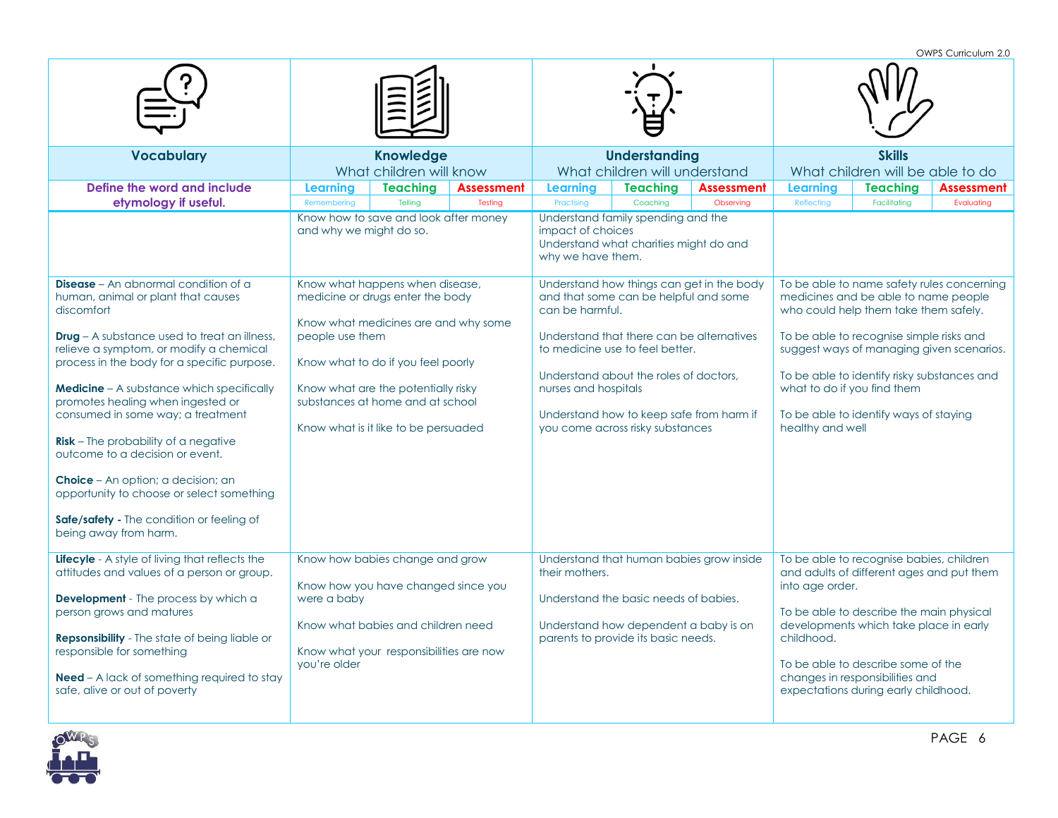OWPS Curriculum 2.0 **Vocabulary Knowledge** What children will know **Understanding** What children will understand **Skills** What children will be able to do **Define the word and include etymology if useful. Learning Teaching Assessment Learning Teaching Assessment Learning Teaching Assessment** Remembering | Telling | Testing | Practising | Coaching | Observing | Reflecting | Facilitating | Evaluating Know how to save and look after money and why we might do so. Understand family spending and the impact of choices Understand what charities might do and why we have them. **Disease** – An abnormal condition of a human, animal or plant that causes discomfort **Drug** – A substance used to treat an illness, relieve a symptom, or modify a chemical process in the body for a specific purpose. **Medicine** – A substance which specifically promotes healing when ingested or consumed in some way; a treatment **Risk** – The probability of a negative outcome to a decision or event. **Choice** – An option; a decision; an opportunity to choose or select something **Safe/safety -** The condition or feeling of being away from harm. Know what happens when disease, medicine or drugs enter the body Know what medicines are and why some people use them Know what to do if you feel poorly Know what are the potentially risky substances at home and at school Know what is it like to be persuaded Understand how things can get in the body and that some can be helpful and some can be harmful. Understand that there can be alternatives to medicine use to feel better. Understand about the roles of doctors, nurses and hospitals Understand how to keep safe from harm if you come across risky substances To be able to name safety rules concerning medicines and be able to name people who could help them take them safely. To be able to recognise simple risks and suggest ways of managing given scenarios. To be able to identify risky substances and what to do if you find them To be able to identify ways of staying healthy and well **Lifecyle** - A style of living that reflects the attitudes and values of a person or group. **Development** - The process by which a person grows and matures **Repsonsibility** - The state of being liable or responsible for something **Need** – A lack of something required to stay safe, alive or out of poverty Know how babies change and grow Know how you have changed since you were a baby Know what babies and children need Know what your responsibilities are now you're older Understand that human babies grow inside their mothers. Understand the basic needs of babies. Understand how dependent a baby is on parents to provide its basic needs. To be able to recognise babies, children and adults of different ages and put them into age order. To be able to describe the main physical developments which take place in early childhood. To be able to describe some of the changes in responsibilities and expectations during early childhood.